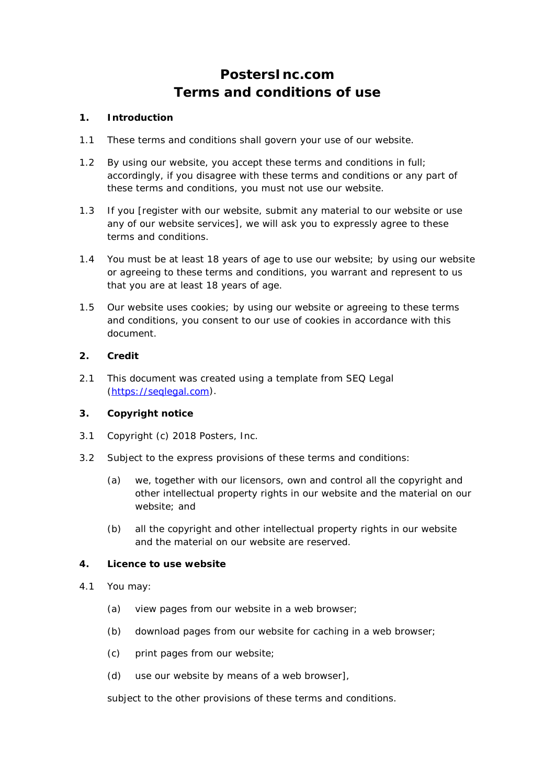# **PostersInc.com Terms and conditions of use**

## **1. Introduction**

- 1.1 These terms and conditions shall govern your use of our website.
- 1.2 By using our website, you accept these terms and conditions in full; accordingly, if you disagree with these terms and conditions or any part of these terms and conditions, you must not use our website.
- 1.3 If you [register with our website, submit any material to our website or use any of our website services], we will ask you to expressly agree to these terms and conditions.
- 1.4 You must be at least 18 years of age to use our website; by using our website or agreeing to these terms and conditions, you warrant and represent to us that you are at least 18 years of age.
- 1.5 Our website uses cookies; by using our website or agreeing to these terms and conditions, you consent to our use of cookies in accordance with this document.

## **2. Credit**

2.1 This document was created using a template from SEQ Legal [\(https://seqlegal.com\)](https://seqlegal.com/).

# **3. Copyright notice**

- 3.1 Copyright (c) *2018 Posters, Inc*.
- 3.2 Subject to the express provisions of these terms and conditions:
	- (a) we, together with our licensors, own and control all the copyright and other intellectual property rights in our website and the material on our website; and
	- (b) all the copyright and other intellectual property rights in our website and the material on our website are reserved.

#### **4. Licence to use website**

- 4.1 You may:
	- (a) view pages from our website in a web browser;
	- (b) download pages from our website for caching in a web browser;
	- (c) print pages from our website;
	- (d) use our website by means of a web browser],

subject to the other provisions of these terms and conditions.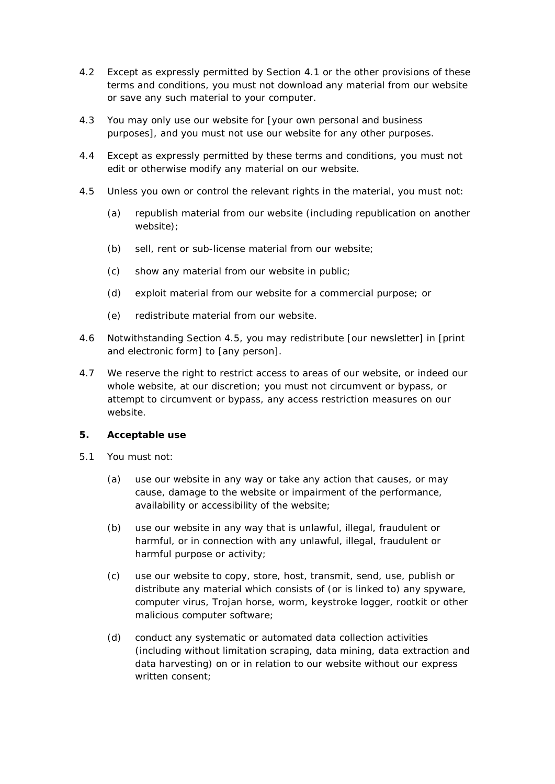- 4.2 Except as expressly permitted by Section 4.1 or the other provisions of these terms and conditions, you must not download any material from our website or save any such material to your computer.
- 4.3 You may only use our website for [your own personal and business purposes], and you must not use our website for any other purposes.
- 4.4 Except as expressly permitted by these terms and conditions, you must not edit or otherwise modify any material on our website.
- 4.5 Unless you own or control the relevant rights in the material, you must not:
	- (a) republish material from our website (including republication on another website);
	- (b) sell, rent or sub-license material from our website;
	- (c) show any material from our website in public;
	- (d) exploit material from our website for a commercial purpose; or
	- (e) redistribute material from our website.
- 4.6 Notwithstanding Section 4.5, you may redistribute [our newsletter] in [print and electronic form] to [any person].
- 4.7 We reserve the right to restrict access to areas of our website, or indeed our whole website, at our discretion; you must not circumvent or bypass, or attempt to circumvent or bypass, any access restriction measures on our website.

#### **5. Acceptable use**

- 5.1 You must not:
	- (a) use our website in any way or take any action that causes, or may cause, damage to the website or impairment of the performance, availability or accessibility of the website;
	- (b) use our website in any way that is unlawful, illegal, fraudulent or harmful, or in connection with any unlawful, illegal, fraudulent or harmful purpose or activity;
	- (c) use our website to copy, store, host, transmit, send, use, publish or distribute any material which consists of (or is linked to) any spyware, computer virus, Trojan horse, worm, keystroke logger, rootkit or other malicious computer software;
	- (d) conduct any systematic or automated data collection activities (including without limitation scraping, data mining, data extraction and data harvesting) on or in relation to our website without our express written consent;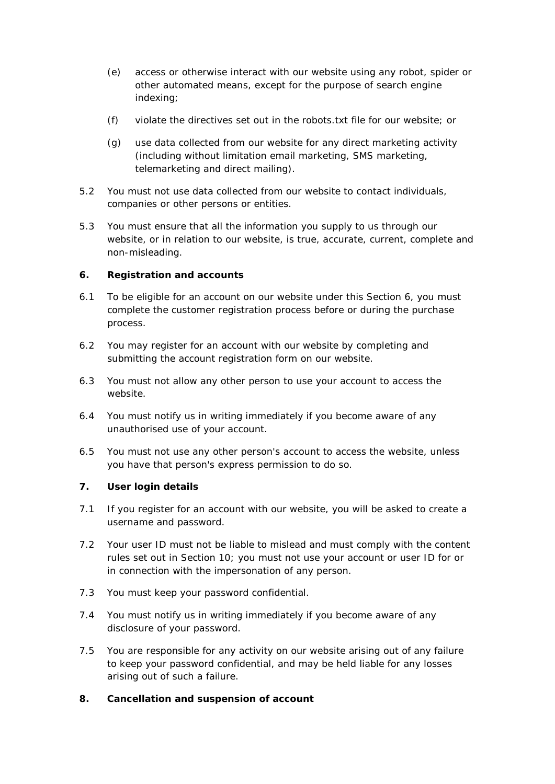- (e) access or otherwise interact with our website using any robot, spider or other automated means, except for the purpose of search engine indexing;
- (f) violate the directives set out in the robots.txt file for our website; or
- (g) use data collected from our website for any direct marketing activity (including without limitation email marketing, SMS marketing, telemarketing and direct mailing).
- 5.2 You must not use data collected from our website to contact individuals, companies or other persons or entities.
- 5.3 You must ensure that all the information you supply to us through our website, or in relation to our website, is true, accurate, current, complete and non-misleading.

## **6. Registration and accounts**

- 6.1 To be eligible for an account on our website under this Section 6, you must complete the customer registration process before or during the purchase process.
- 6.2 You may register for an account with our website by completing and submitting the account registration form on our website.
- 6.3 You must not allow any other person to use your account to access the website.
- 6.4 You must notify us in writing immediately if you become aware of any unauthorised use of your account.
- 6.5 You must not use any other person's account to access the website, unless you have that person's express permission to do so.

#### **7. User login details**

- 7.1 If you register for an account with our website, you will be asked to create a username and password.
- 7.2 Your user ID must not be liable to mislead and must comply with the content rules set out in Section 10; you must not use your account or user ID for or in connection with the impersonation of any person.
- 7.3 You must keep your password confidential.
- 7.4 You must notify us in writing immediately if you become aware of any disclosure of your password.
- 7.5 You are responsible for any activity on our website arising out of any failure to keep your password confidential, and may be held liable for any losses arising out of such a failure.

# **8. Cancellation and suspension of account**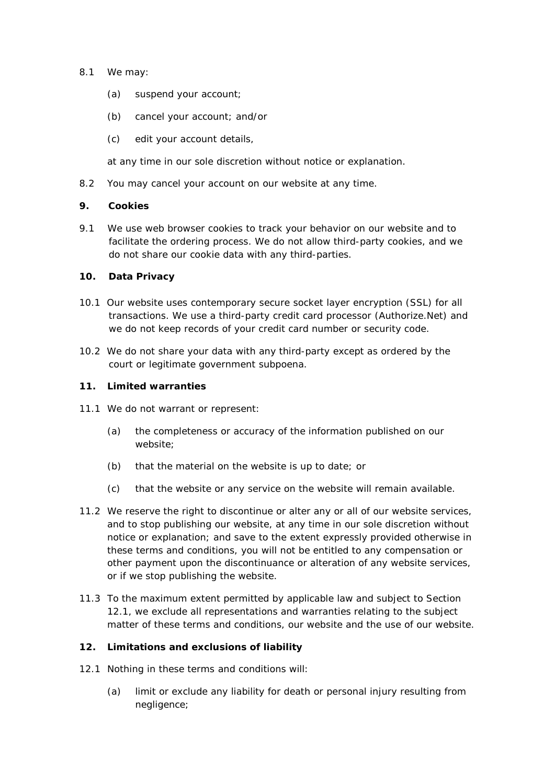- 8.1 We may:
	- (a) suspend your account;
	- (b) cancel your account; and/or
	- (c) edit your account details,

at any time in our sole discretion without notice or explanation.

8.2 You may cancel your account on our website at any time.

#### **9. Cookies**

9.1 We use web browser cookies to track your behavior on our website and to facilitate the ordering process. We do not allow third-party cookies, and we do not share our cookie data with any third-parties.

#### **10. Data Privacy**

- 10.1 Our website uses contemporary secure socket layer encryption (SSL) for all transactions. We use a third-party credit card processor (Authorize.Net) and we do not keep records of your credit card number or security code.
- 10.2 We do not share your data with any third-party except as ordered by the court or legitimate government subpoena.

#### **11. Limited warranties**

- 11.1 We do not warrant or represent:
	- (a) the completeness or accuracy of the information published on our website;
	- (b) that the material on the website is up to date; or
	- (c) that the website or any service on the website will remain available.
- 11.2 We reserve the right to discontinue or alter any or all of our website services, and to stop publishing our website, at any time in our sole discretion without notice or explanation; and save to the extent expressly provided otherwise in these terms and conditions, you will not be entitled to any compensation or other payment upon the discontinuance or alteration of any website services, or if we stop publishing the website.
- 11.3 To the maximum extent permitted by applicable law and subject to Section 12.1, we exclude all representations and warranties relating to the subject matter of these terms and conditions, our website and the use of our website.

## **12. Limitations and exclusions of liability**

- 12.1 Nothing in these terms and conditions will:
	- (a) limit or exclude any liability for death or personal injury resulting from negligence;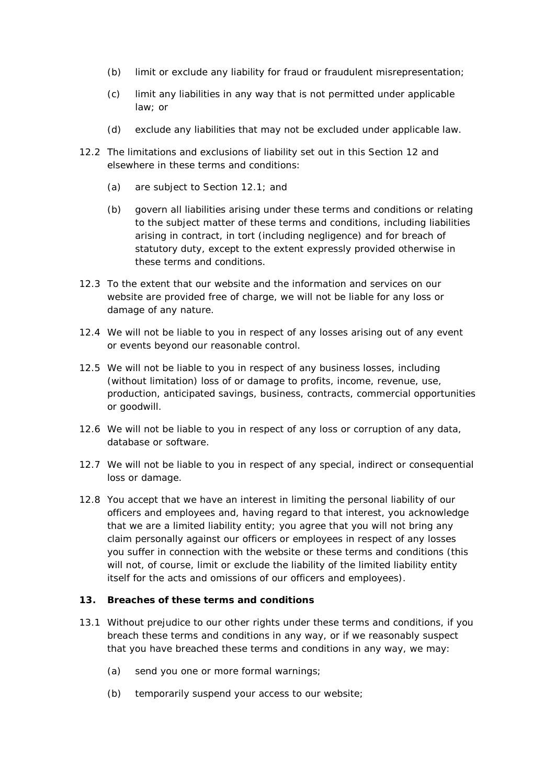- (b) limit or exclude any liability for fraud or fraudulent misrepresentation;
- (c) limit any liabilities in any way that is not permitted under applicable law; or
- (d) exclude any liabilities that may not be excluded under applicable law.
- 12.2 The limitations and exclusions of liability set out in this Section 12 and elsewhere in these terms and conditions:
	- (a) are subject to Section 12.1; and
	- (b) govern all liabilities arising under these terms and conditions or relating to the subject matter of these terms and conditions, including liabilities arising in contract, in tort (including negligence) and for breach of statutory duty, except to the extent expressly provided otherwise in these terms and conditions.
- 12.3 To the extent that our website and the information and services on our website are provided free of charge, we will not be liable for any loss or damage of any nature.
- 12.4 We will not be liable to you in respect of any losses arising out of any event or events beyond our reasonable control.
- 12.5 We will not be liable to you in respect of any business losses, including (without limitation) loss of or damage to profits, income, revenue, use, production, anticipated savings, business, contracts, commercial opportunities or goodwill.
- 12.6 We will not be liable to you in respect of any loss or corruption of any data, database or software.
- 12.7 We will not be liable to you in respect of any special, indirect or consequential loss or damage.
- 12.8 You accept that we have an interest in limiting the personal liability of our officers and employees and, having regard to that interest, you acknowledge that we are a limited liability entity; you agree that you will not bring any claim personally against our officers or employees in respect of any losses you suffer in connection with the website or these terms and conditions (this will not, of course, limit or exclude the liability of the limited liability entity itself for the acts and omissions of our officers and employees).

## **13. Breaches of these terms and conditions**

- 13.1 Without prejudice to our other rights under these terms and conditions, if you breach these terms and conditions in any way, or if we reasonably suspect that you have breached these terms and conditions in any way, we may:
	- (a) send you one or more formal warnings;
	- (b) temporarily suspend your access to our website;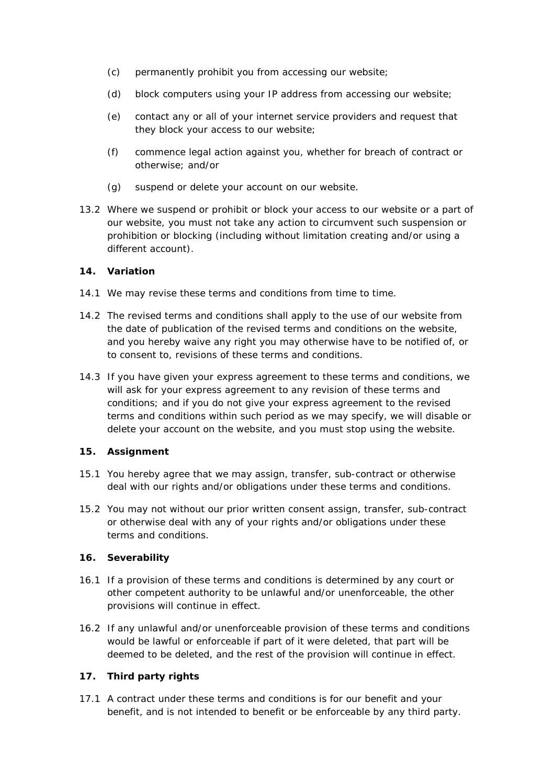- (c) permanently prohibit you from accessing our website;
- (d) block computers using your IP address from accessing our website;
- (e) contact any or all of your internet service providers and request that they block your access to our website;
- (f) commence legal action against you, whether for breach of contract or otherwise; and/or
- (g) suspend or delete your account on our website.
- 13.2 Where we suspend or prohibit or block your access to our website or a part of our website, you must not take any action to circumvent such suspension or prohibition or blocking (including without limitation creating and/or using a different account).

## **14. Variation**

- 14.1 We may revise these terms and conditions from time to time.
- 14.2 The revised terms and conditions shall apply to the use of our website from the date of publication of the revised terms and conditions on the website, and you hereby waive any right you may otherwise have to be notified of, or to consent to, revisions of these terms and conditions.
- 14.3 If you have given your express agreement to these terms and conditions, we will ask for your express agreement to any revision of these terms and conditions; and if you do not give your express agreement to the revised terms and conditions within such period as we may specify, we will disable or delete your account on the website, and you must stop using the website.

#### **15. Assignment**

- 15.1 You hereby agree that we may assign, transfer, sub-contract or otherwise deal with our rights and/or obligations under these terms and conditions.
- 15.2 You may not without our prior written consent assign, transfer, sub-contract or otherwise deal with any of your rights and/or obligations under these terms and conditions.

# **16. Severability**

- 16.1 If a provision of these terms and conditions is determined by any court or other competent authority to be unlawful and/or unenforceable, the other provisions will continue in effect.
- 16.2 If any unlawful and/or unenforceable provision of these terms and conditions would be lawful or enforceable if part of it were deleted, that part will be deemed to be deleted, and the rest of the provision will continue in effect.

# **17. Third party rights**

17.1 A contract under these terms and conditions is for our benefit and your benefit, and is not intended to benefit or be enforceable by any third party.